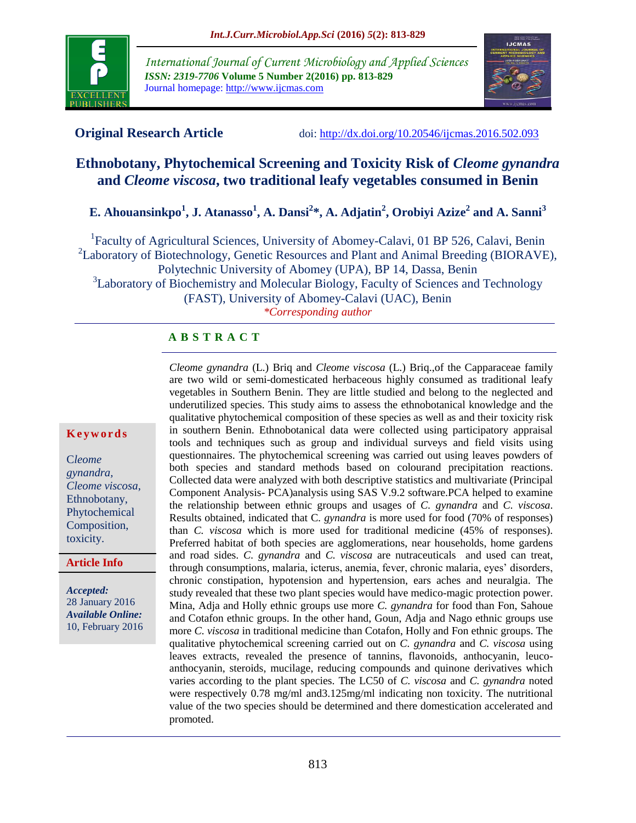

*International Journal of Current Microbiology and Applied Sciences ISSN: 2319-7706* **Volume 5 Number 2(2016) pp. 813-829** Journal homepage: http://www.ijcmas.com



**Original Research Article** doi:<http://dx.doi.org/10.20546/ijcmas.2016.502.093>

# **Ethnobotany, Phytochemical Screening and Toxicity Risk of** *Cleome gynandra* **and** *Cleome viscosa***, two traditional leafy vegetables consumed in Benin**

**E. Ahouansinkpo<sup>1</sup> , J. Atanasso<sup>1</sup> , A. Dansi<sup>2</sup> \*, A. Adjatin<sup>2</sup> , Orobiyi Azize<sup>2</sup> and A. Sanni<sup>3</sup>**

<sup>1</sup>Faculty of Agricultural Sciences, University of Abomey-Calavi, 01 BP 526, Calavi, Benin <sup>2</sup>Laboratory of Biotechnology, Genetic Resources and Plant and Animal Breeding (BIORAVE), Polytechnic University of Abomey (UPA), BP 14, Dassa, Benin <sup>3</sup>Laboratory of Biochemistry and Molecular Biology, Faculty of Sciences and Technology

(FAST), University of Abomey-Calavi (UAC), Benin

*\*Corresponding author*

## **A B S T R A C T**

#### **K e y w o r d s**

C*leome gynandra, Cleome viscosa*, Ethnobotany, Phytochemical Composition, toxicity.

**Article Info**

*Accepted:*  28 January 2016 *Available Online:* 10, February 2016 *Cleome gynandra* (L.) Briq and *Cleome viscosa* (L.) Briq.,of the Capparaceae family are two wild or semi-domesticated herbaceous highly consumed as traditional leafy vegetables in Southern Benin. They are little studied and belong to the neglected and underutilized species. This study aims to assess the ethnobotanical knowledge and the qualitative phytochemical composition of these species as well as and their toxicity risk in southern Benin. Ethnobotanical data were collected using participatory appraisal tools and techniques such as group and individual surveys and field visits using questionnaires. The phytochemical screening was carried out using leaves powders of both species and standard methods based on colourand precipitation reactions. Collected data were analyzed with both descriptive statistics and multivariate (Principal Component Analysis- PCA)analysis using SAS V.9.2 software.PCA helped to examine the relationship between ethnic groups and usages of *C. gynandra* and *C. viscosa*. Results obtained, indicated that C*. gynandra* is more used for food (70% of responses) than *C. viscosa* which is more used for traditional medicine (45% of responses). Preferred habitat of both species are agglomerations, near households, home gardens and road sides. *C. gynandra* and *C. viscosa* are nutraceuticals and used can treat, through consumptions, malaria, icterus, anemia, fever, chronic malaria, eyes' disorders, chronic constipation, hypotension and hypertension, ears aches and neuralgia. The study revealed that these two plant species would have medico-magic protection power. Mina, Adja and Holly ethnic groups use more *C. gynandra* for food than Fon, Sahoue and Cotafon ethnic groups. In the other hand, Goun, Adja and Nago ethnic groups use more *C. viscosa* in traditional medicine than Cotafon, Holly and Fon ethnic groups. The qualitative phytochemical screening carried out on *C. gynandra* and *C. viscosa* using leaves extracts, revealed the presence of tannins, flavonoids, anthocyanin, leucoanthocyanin, steroids, mucilage, reducing compounds and quinone derivatives which varies according to the plant species. The LC50 of *C. viscosa* and *C. gynandra* noted were respectively 0.78 mg/ml and3.125mg/ml indicating non toxicity. The nutritional value of the two species should be determined and there domestication accelerated and promoted.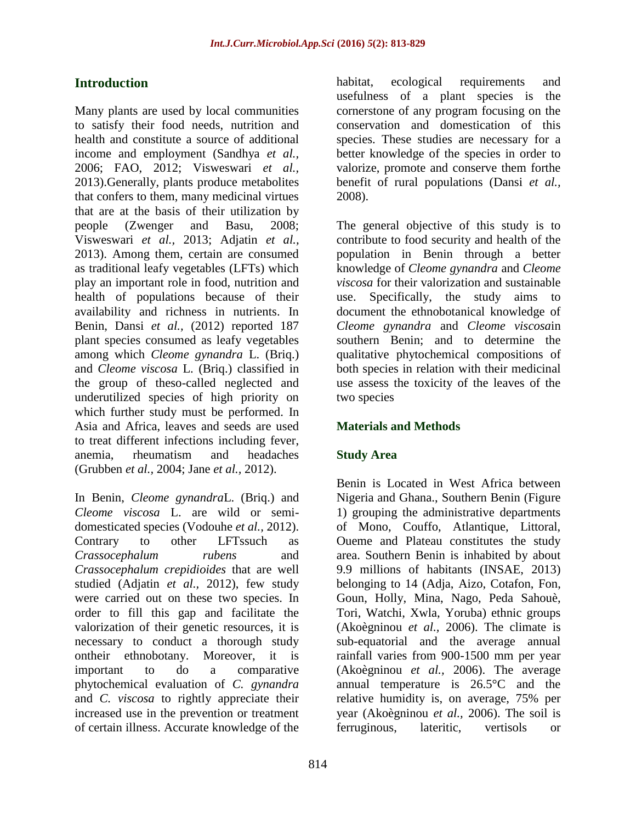# **Introduction**

Many plants are used by local communities to satisfy their food needs, nutrition and health and constitute a source of additional income and employment (Sandhya *et al.,* 2006; FAO, 2012; Visweswari *et al.,* 2013).Generally, plants produce metabolites that confers to them, many medicinal virtues that are at the basis of their utilization by people (Zwenger and Basu, 2008; Visweswari *et al.,* 2013; Adjatin *et al.,* 2013). Among them, certain are consumed as traditional leafy vegetables (LFTs) which play an important role in food, nutrition and health of populations because of their availability and richness in nutrients. In Benin, Dansi *et al.,* (2012) reported 187 plant species consumed as leafy vegetables among which *Cleome gynandra* L. (Briq.) and *Cleome viscosa* L. (Briq.) classified in the group of theso-called neglected and underutilized species of high priority on which further study must be performed. In Asia and Africa, leaves and seeds are used to treat different infections including fever, anemia, rheumatism and headaches (Grubben *et al.,* 2004; Jane *et al.,* 2012).

In Benin, *Cleome gynandra*L. (Briq.) and *Cleome viscosa* L. are wild or semidomesticated species (Vodouhe *et al.,* 2012). Contrary to other LFTssuch as *Crassocephalum rubens* and *Crassocephalum crepidioides* that are well studied (Adjatin *et al.,* 2012), few study were carried out on these two species. In order to fill this gap and facilitate the valorization of their genetic resources, it is necessary to conduct a thorough study ontheir ethnobotany. Moreover, it is important to do a comparative phytochemical evaluation of *C. gynandra*  and *C. viscosa* to rightly appreciate their increased use in the prevention or treatment of certain illness. Accurate knowledge of the

habitat, ecological requirements and usefulness of a plant species is the cornerstone of any program focusing on the conservation and domestication of this species. These studies are necessary for a better knowledge of the species in order to valorize, promote and conserve them forthe benefit of rural populations (Dansi *et al.,* 2008).

The general objective of this study is to contribute to food security and health of the population in Benin through a better knowledge of *Cleome gynandra* and *Cleome viscosa* for their valorization and sustainable use. Specifically, the study aims to document the ethnobotanical knowledge of *Cleome gynandra* and *Cleome viscosa*in southern Benin; and to determine the qualitative phytochemical compositions of both species in relation with their medicinal use assess the toxicity of the leaves of the two species

## **Materials and Methods**

## **Study Area**

Benin is Located in West Africa between Nigeria and Ghana., Southern Benin (Figure 1) grouping the administrative departments of Mono, Couffo, Atlantique, Littoral, Oueme and Plateau constitutes the study area. Southern Benin is inhabited by about 9.9 millions of habitants (INSAE, 2013) belonging to 14 (Adja, Aizo, Cotafon, Fon, Goun, Holly, Mina, Nago, Peda Sahouè, Tori, Watchi, Xwla, Yoruba) ethnic groups (Akoègninou *et al.,* 2006). The climate is sub-equatorial and the average annual rainfall varies from 900-1500 mm per year (Akoègninou *et al.,* 2006). The average annual temperature is 26.5°C and the relative humidity is, on average, 75% per year (Akoègninou *et al.,* 2006). The soil is ferruginous, lateritic, vertisols or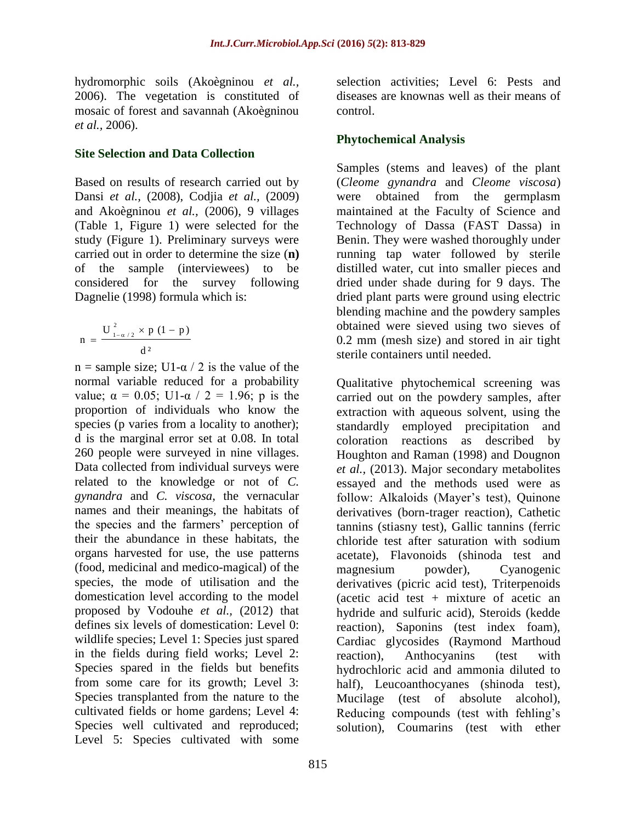hydromorphic soils (Akoègninou *et al.,* 2006). The vegetation is constituted of mosaic of forest and savannah (Akoègninou *et al.,* 2006).

#### **Site Selection and Data Collection**

Based on results of research carried out by Dansi *et al.,* (2008), Codjia *et al.,* (2009) and Akoègninou *et al.,* (2006), 9 villages (Table 1, Figure 1) were selected for the study (Figure 1). Preliminary surveys were carried out in order to determine the size (**n)** of the sample (interviewees) to be considered for the survey following Dagnelie (1998) formula which is:

$$
n\,=\,\frac{\mathop{\mathrm{U}}\nolimits_{_{1-\alpha/2}}^{^{2}}\,\times\,p\,\left(1-\,p\right)}{d^{\,2}}
$$

n = sample size; U1- $\alpha$  / 2 is the value of the normal variable reduced for a probability value;  $\alpha = 0.05$ ; U1- $\alpha$  / 2 = 1.96; p is the proportion of individuals who know the species (p varies from a locality to another); d is the marginal error set at 0.08. In total 260 people were surveyed in nine villages. Data collected from individual surveys were related to the knowledge or not of *C. gynandra* and *C. viscosa*, the vernacular names and their meanings, the habitats of the species and the farmers' perception of their the abundance in these habitats, the organs harvested for use, the use patterns (food, medicinal and medico-magical) of the species, the mode of utilisation and the domestication level according to the model proposed by Vodouhe *et al.,* (2012) that defines six levels of domestication: Level 0: wildlife species; Level 1: Species just spared in the fields during field works; Level 2: Species spared in the fields but benefits from some care for its growth; Level 3: Species transplanted from the nature to the cultivated fields or home gardens; Level 4: Species well cultivated and reproduced; Level 5: Species cultivated with some

selection activities; Level 6: Pests and diseases are knownas well as their means of control.

## **Phytochemical Analysis**

Samples (stems and leaves) of the plant (*Cleome gynandra* and *Cleome viscosa*) were obtained from the germplasm maintained at the Faculty of Science and Technology of Dassa (FAST Dassa) in Benin. They were washed thoroughly under running tap water followed by sterile distilled water, cut into smaller pieces and dried under shade during for 9 days. The dried plant parts were ground using electric blending machine and the powdery samples obtained were sieved using two sieves of 0.2 mm (mesh size) and stored in air tight sterile containers until needed.

Qualitative phytochemical screening was carried out on the powdery samples, after extraction with aqueous solvent, using the standardly employed precipitation and coloration reactions as described by Houghton and Raman (1998) and Dougnon *et al.,* (2013). Major secondary metabolites essayed and the methods used were as follow: Alkaloids (Mayer's test), Quinone derivatives (born-trager reaction), Cathetic tannins (stiasny test), Gallic tannins (ferric chloride test after saturation with sodium acetate), Flavonoids (shinoda test and magnesium powder), Cyanogenic derivatives (picric acid test), Triterpenoids (acetic acid test  $+$  mixture of acetic an hydride and sulfuric acid), Steroids (kedde reaction), Saponins (test index foam), Cardiac glycosides (Raymond Marthoud reaction), Anthocyanins (test with hydrochloric acid and ammonia diluted to half), Leucoanthocyanes (shinoda test), Mucilage (test of absolute alcohol), Reducing compounds (test with fehling's solution), Coumarins (test with ether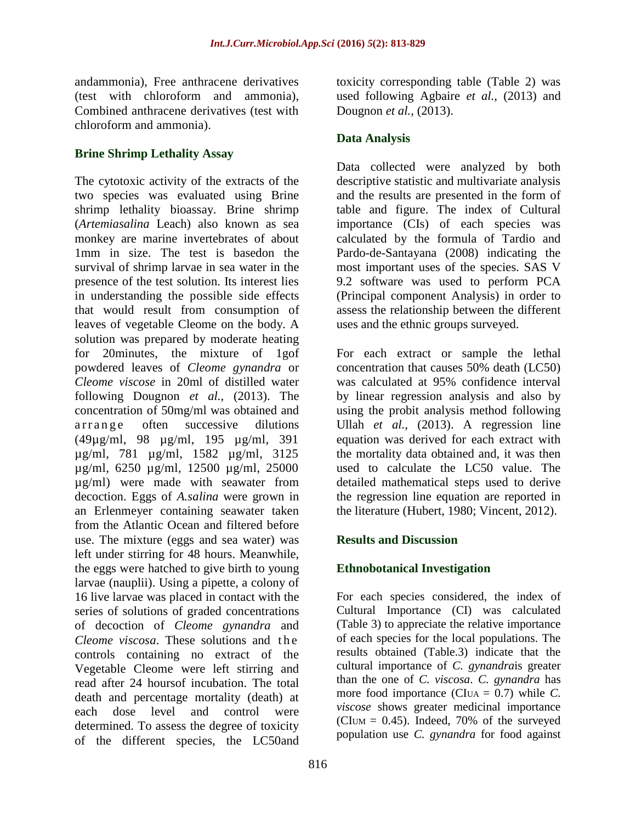andammonia), Free anthracene derivatives (test with chloroform and ammonia), Combined anthracene derivatives (test with chloroform and ammonia).

## **Brine Shrimp Lethality Assay**

The cytotoxic activity of the extracts of the two species was evaluated using Brine shrimp lethality bioassay. Brine shrimp (*Artemiasalina* Leach) also known as sea monkey are marine invertebrates of about 1mm in size. The test is basedon the survival of shrimp larvae in sea water in the presence of the test solution. Its interest lies in understanding the possible side effects that would result from consumption of leaves of vegetable Cleome on the body. A solution was prepared by moderate heating for 20minutes, the mixture of 1gof powdered leaves of *Cleome gynandra* or *Cleome viscose* in 20ml of distilled water following Dougnon *et al.,* (2013). The concentration of 50mg/ml was obtained and arrange often successive dilutions (49µg/ml, 98 µg/ml, 195 µg/ml, 391 µg/ml, 781 µg/ml, 1582 µg/ml, 3125 µg/ml, 6250 µg/ml, 12500 µg/ml, 25000 µg/ml) were made with seawater from decoction. Eggs of *A.salina* were grown in an Erlenmeyer containing seawater taken from the Atlantic Ocean and filtered before use. The mixture (eggs and sea water) was left under stirring for 48 hours. Meanwhile, the eggs were hatched to give birth to young larvae (nauplii). Using a pipette, a colony of 16 live larvae was placed in contact with the series of solutions of graded concentrations of decoction of *Cleome gynandra* and *Cleome viscosa*. These solutions and the controls containing no extract of the Vegetable Cleome were left stirring and read after 24 hoursof incubation. The total death and percentage mortality (death) at each dose level and control were determined. To assess the degree of toxicity of the different species, the LC50and

toxicity corresponding table (Table 2) was used following Agbaire *et al.,* (2013) and Dougnon *et al.,* (2013).

## **Data Analysis**

Data collected were analyzed by both descriptive statistic and multivariate analysis and the results are presented in the form of table and figure. The index of Cultural importance (CIs) of each species was calculated by the formula of Tardio and Pardo-de-Santayana (2008) indicating the most important uses of the species. SAS V 9.2 software was used to perform PCA (Principal component Analysis) in order to assess the relationship between the different uses and the ethnic groups surveyed.

For each extract or sample the lethal concentration that causes 50% death (LC50) was calculated at 95% confidence interval by linear regression analysis and also by using the probit analysis method following Ullah *et al.,* (2013). A regression line equation was derived for each extract with the mortality data obtained and, it was then used to calculate the LC50 value. The detailed mathematical steps used to derive the regression line equation are reported in the literature (Hubert, 1980; Vincent, 2012).

## **Results and Discussion**

## **Ethnobotanical Investigation**

For each species considered, the index of Cultural Importance (CI) was calculated (Table 3) to appreciate the relative importance of each species for the local populations. The results obtained (Table.3) indicate that the cultural importance of *C. gynandra*is greater than the one of *C. viscosa*. *C. gynandra* has more food importance (CIUA = 0.7) while *C. viscose* shows greater medicinal importance (CIUM =  $0.45$ ). Indeed, 70% of the surveyed population use *C. gynandra* for food against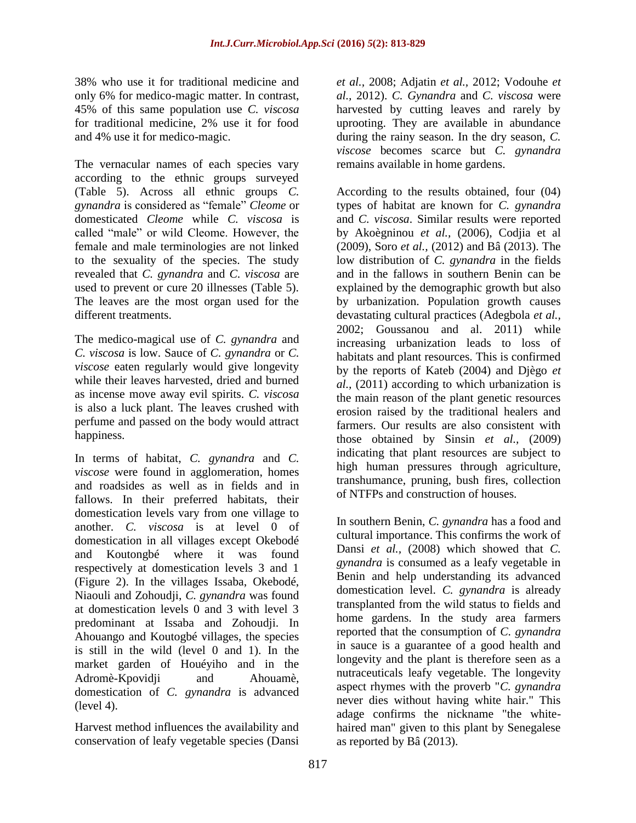38% who use it for traditional medicine and only 6% for medico-magic matter. In contrast, 45% of this same population use *C. viscosa*  for traditional medicine, 2% use it for food and 4% use it for medico-magic.

The vernacular names of each species vary according to the ethnic groups surveyed (Table 5). Across all ethnic groups *C. gynandra* is considered as "female" *Cleome* or domesticated *Cleome* while *C. viscosa* is called "male" or wild Cleome. However, the female and male terminologies are not linked to the sexuality of the species. The study revealed that *C. gynandra* and *C. viscosa* are used to prevent or cure 20 illnesses (Table 5). The leaves are the most organ used for the different treatments.

The medico-magical use of *C. gynandra* and *C. viscosa* is low. Sauce of *C. gynandra* or *C. viscose* eaten regularly would give longevity while their leaves harvested, dried and burned as incense move away evil spirits. *C. viscosa*  is also a luck plant. The leaves crushed with perfume and passed on the body would attract happiness.

In terms of habitat, *C. gynandra* and *C. viscose* were found in agglomeration, homes and roadsides as well as in fields and in fallows. In their preferred habitats, their domestication levels vary from one village to another. *C. viscosa* is at level 0 of domestication in all villages except Okebodé and Koutongbé where it was found respectively at domestication levels 3 and 1 (Figure 2). In the villages Issaba, Okebodé, Niaouli and Zohoudji, *C. gynandra* was found at domestication levels 0 and 3 with level 3 predominant at Issaba and Zohoudji. In Ahouango and Koutogbé villages, the species is still in the wild (level 0 and 1). In the market garden of Houéyiho and in the Adromè-Kpovidji and Ahouamè, domestication of *C. gynandra* is advanced (level 4).

Harvest method influences the availability and conservation of leafy vegetable species (Dansi *et al.,* 2008; Adjatin *et al.,* 2012; Vodouhe *et al.,* 2012). *C. Gynandra* and *C. viscosa* were harvested by cutting leaves and rarely by uprooting. They are available in abundance during the rainy season. In the dry season, *C. viscose* becomes scarce but *C. gynandra*  remains available in home gardens.

According to the results obtained, four (04) types of habitat are known for *C. gynandra*  and *C. viscosa*. Similar results were reported by Akoègninou *et al.,* (2006), Codjia et al (2009), Soro *et al.,* (2012) and Bâ (2013). The low distribution of *C. gynandra* in the fields and in the fallows in southern Benin can be explained by the demographic growth but also by urbanization. Population growth causes devastating cultural practices (Adegbola *et al.,*  2002; Goussanou and al. 2011) while increasing urbanization leads to loss of habitats and plant resources. This is confirmed by the reports of Kateb (2004) and Djègo *et al.,* (2011) according to which urbanization is the main reason of the plant genetic resources erosion raised by the traditional healers and farmers. Our results are also consistent with those obtained by Sinsin *et al.,* (2009) indicating that plant resources are subject to high human pressures through agriculture, transhumance, pruning, bush fires, collection of NTFPs and construction of houses.

In southern Benin, *C. gynandra* has a food and cultural importance. This confirms the work of Dansi *et al.,* (2008) which showed that *C. gynandra* is consumed as a leafy vegetable in Benin and help understanding its advanced domestication level. *C. gynandra* is already transplanted from the wild status to fields and home gardens. In the study area farmers reported that the consumption of *C. gynandra*  in sauce is a guarantee of a good health and longevity and the plant is therefore seen as a nutraceuticals leafy vegetable. The longevity aspect rhymes with the proverb "*C. gynandra*  never dies without having white hair." This adage confirms the nickname "the whitehaired man" given to this plant by Senegalese as reported by Bâ (2013).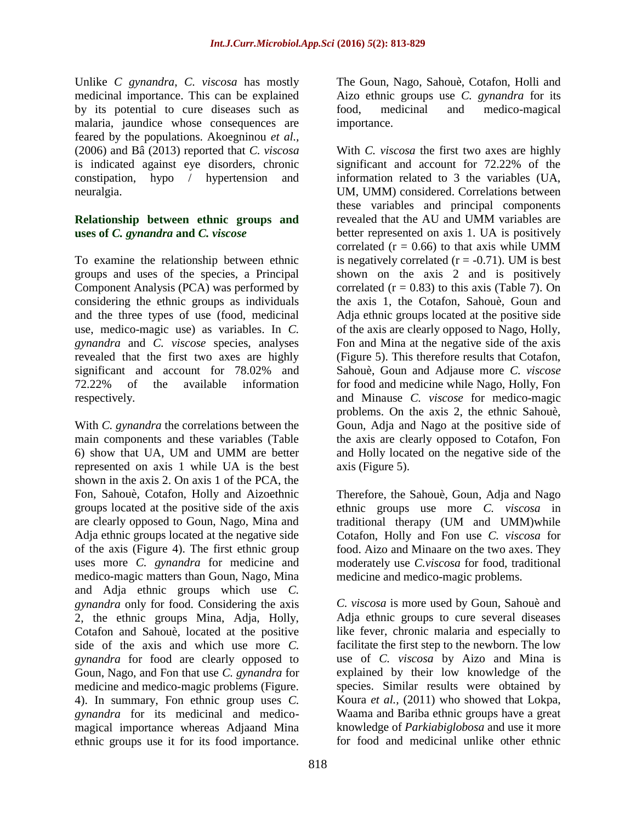Unlike *C gynandra*, *C. viscosa* has mostly medicinal importance. This can be explained by its potential to cure diseases such as malaria, jaundice whose consequences are feared by the populations. Akoegninou *et al.,*  (2006) and Bâ (2013) reported that *C. viscosa*  is indicated against eye disorders, chronic constipation, hypo / hypertension and neuralgia.

#### **Relationship between ethnic groups and uses of** *C. gynandra* **and** *C. viscose*

To examine the relationship between ethnic groups and uses of the species, a Principal Component Analysis (PCA) was performed by considering the ethnic groups as individuals and the three types of use (food, medicinal use, medico-magic use) as variables. In *C. gynandra* and *C. viscose* species, analyses revealed that the first two axes are highly significant and account for 78.02% and 72.22% of the available information respectively.

With *C. gynandra* the correlations between the main components and these variables (Table 6) show that UA, UM and UMM are better represented on axis 1 while UA is the best shown in the axis 2. On axis 1 of the PCA, the Fon, Sahouè, Cotafon, Holly and Aizoethnic groups located at the positive side of the axis are clearly opposed to Goun, Nago, Mina and Adja ethnic groups located at the negative side of the axis (Figure 4). The first ethnic group uses more *C. gynandra* for medicine and medico-magic matters than Goun, Nago, Mina and Adja ethnic groups which use *C. gynandra* only for food. Considering the axis 2, the ethnic groups Mina, Adja, Holly, Cotafon and Sahouè, located at the positive side of the axis and which use more *C. gynandra* for food are clearly opposed to Goun, Nago, and Fon that use *C. gynandra* for medicine and medico-magic problems (Figure. 4). In summary, Fon ethnic group uses *C. gynandra* for its medicinal and medicomagical importance whereas Adjaand Mina ethnic groups use it for its food importance.

The Goun, Nago, Sahouè, Cotafon, Holli and Aizo ethnic groups use *C. gynandra* for its food, medicinal and medico-magical importance.

With *C. viscosa* the first two axes are highly significant and account for 72.22% of the information related to 3 the variables (UA, UM, UMM) considered. Correlations between these variables and principal components revealed that the AU and UMM variables are better represented on axis 1. UA is positively correlated  $(r = 0.66)$  to that axis while UMM is negatively correlated  $(r = -0.71)$ . UM is best shown on the axis 2 and is positively correlated  $(r = 0.83)$  to this axis (Table 7). On the axis 1, the Cotafon, Sahouè, Goun and Adja ethnic groups located at the positive side of the axis are clearly opposed to Nago, Holly, Fon and Mina at the negative side of the axis (Figure 5). This therefore results that Cotafon, Sahouè, Goun and Adjause more *C. viscose*  for food and medicine while Nago, Holly, Fon and Minause *C. viscose* for medico-magic problems. On the axis 2, the ethnic Sahouè, Goun, Adja and Nago at the positive side of the axis are clearly opposed to Cotafon, Fon and Holly located on the negative side of the axis (Figure 5).

Therefore, the Sahouè, Goun, Adja and Nago ethnic groups use more *C. viscosa* in traditional therapy (UM and UMM)while Cotafon, Holly and Fon use *C. viscosa* for food. Aizo and Minaare on the two axes. They moderately use *C.viscosa* for food, traditional medicine and medico-magic problems.

*C. viscosa* is more used by Goun, Sahouè and Adja ethnic groups to cure several diseases like fever, chronic malaria and especially to facilitate the first step to the newborn. The low use of *C. viscosa* by Aizo and Mina is explained by their low knowledge of the species. Similar results were obtained by Koura *et al.,* (2011) who showed that Lokpa, Waama and Bariba ethnic groups have a great knowledge of *Parkiabiglobosa* and use it more for food and medicinal unlike other ethnic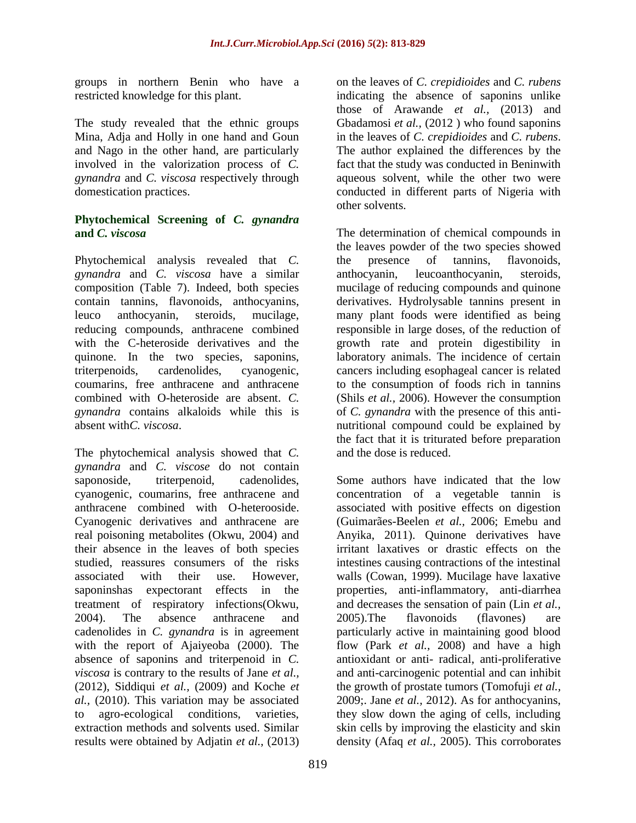groups in northern Benin who have a restricted knowledge for this plant.

The study revealed that the ethnic groups Mina, Adja and Holly in one hand and Goun and Nago in the other hand, are particularly involved in the valorization process of *C. gynandra* and *C. viscosa* respectively through domestication practices.

#### **Phytochemical Screening of** *C. gynandra*  **and** *C. viscosa*

Phytochemical analysis revealed that *C. gynandra* and *C. viscosa* have a similar composition (Table 7). Indeed, both species contain tannins, flavonoids, anthocyanins, leuco anthocyanin, steroids, mucilage, reducing compounds, anthracene combined with the C-heteroside derivatives and the quinone. In the two species, saponins, triterpenoids, cardenolides, cyanogenic, coumarins, free anthracene and anthracene combined with O-heteroside are absent. *C. gynandra* contains alkaloids while this is absent with*C. viscosa*.

The phytochemical analysis showed that *C. gynandra* and *C. viscose* do not contain saponoside, triterpenoid, cadenolides, cyanogenic, coumarins, free anthracene and anthracene combined with O-heterooside. Cyanogenic derivatives and anthracene are real poisoning metabolites (Okwu, 2004) and their absence in the leaves of both species studied, reassures consumers of the risks associated with their use. However, saponinshas expectorant effects in the treatment of respiratory infections(Okwu, 2004). The absence anthracene and cadenolides in *C. gynandra* is in agreement with the report of Ajaiyeoba (2000). The absence of saponins and triterpenoid in *C. viscosa* is contrary to the results of Jane *et al.,*  (2012), Siddiqui *et al.,* (2009) and Koche *et al.,* (2010). This variation may be associated to agro-ecological conditions, varieties, extraction methods and solvents used. Similar results were obtained by Adjatin *et al.,* (2013)

on the leaves of *C. crepidioides* and *C. rubens*  indicating the absence of saponins unlike those of Arawande *et al.,* (2013) and Gbadamosi *et al.,* (2012 ) who found saponins in the leaves of *C. crepidioides* and *C. rubens*. The author explained the differences by the fact that the study was conducted in Beninwith aqueous solvent, while the other two were conducted in different parts of Nigeria with other solvents.

The determination of chemical compounds in the leaves powder of the two species showed the presence of tannins, flavonoids, anthocyanin, leucoanthocyanin, steroids, mucilage of reducing compounds and quinone derivatives. Hydrolysable tannins present in many plant foods were identified as being responsible in large doses, of the reduction of growth rate and protein digestibility in laboratory animals. The incidence of certain cancers including esophageal cancer is related to the consumption of foods rich in tannins (Shils *et al.,* 2006). However the consumption of *C. gynandra* with the presence of this antinutritional compound could be explained by the fact that it is triturated before preparation and the dose is reduced.

Some authors have indicated that the low concentration of a vegetable tannin is associated with positive effects on digestion (Guimarães-Beelen *et al.,* 2006; Emebu and Anyika, 2011). Quinone derivatives have irritant laxatives or drastic effects on the intestines causing contractions of the intestinal walls (Cowan, 1999). Mucilage have laxative properties, anti-inflammatory, anti-diarrhea and decreases the sensation of pain (Lin *et al.,*  2005).The flavonoids (flavones) are particularly active in maintaining good blood flow (Park *et al.,* 2008) and have a high antioxidant or anti- radical, anti-proliferative and anti-carcinogenic potential and can inhibit the growth of prostate tumors (Tomofuji *et al.,*  2009;. Jane *et al.,* 2012). As for anthocyanins, they slow down the aging of cells, including skin cells by improving the elasticity and skin density (Afaq *et al.,* 2005). This corroborates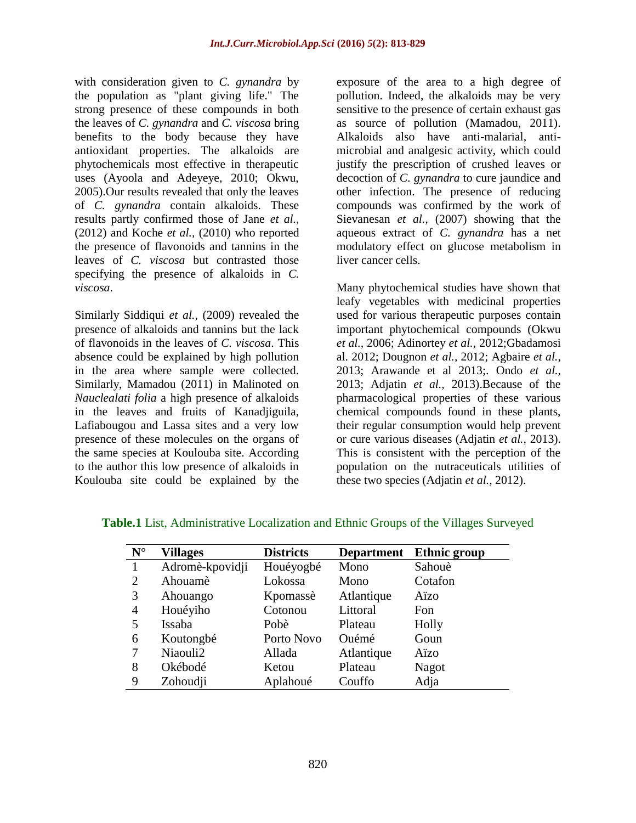with consideration given to *C. gynandra* by the population as "plant giving life." The strong presence of these compounds in both the leaves of *C. gynandra* and *C. viscosa* bring benefits to the body because they have antioxidant properties. The alkaloids are phytochemicals most effective in therapeutic uses (Ayoola and Adeyeye, 2010; Okwu, 2005).Our results revealed that only the leaves of *C. gynandra* contain alkaloids. These results partly confirmed those of Jane *et al.,*  (2012) and Koche *et al.,* (2010) who reported the presence of flavonoids and tannins in the leaves of *C. viscosa* but contrasted those specifying the presence of alkaloids in *C. viscosa*.

Similarly Siddiqui *et al.,* (2009) revealed the presence of alkaloids and tannins but the lack of flavonoids in the leaves of *C. viscosa*. This absence could be explained by high pollution in the area where sample were collected. Similarly, Mamadou (2011) in Malinoted on *Nauclealati folia* a high presence of alkaloids in the leaves and fruits of Kanadjiguila, Lafiabougou and Lassa sites and a very low presence of these molecules on the organs of the same species at Koulouba site. According to the author this low presence of alkaloids in Koulouba site could be explained by the

exposure of the area to a high degree of pollution. Indeed, the alkaloids may be very sensitive to the presence of certain exhaust gas as source of pollution (Mamadou, 2011). Alkaloids also have anti-malarial, antimicrobial and analgesic activity, which could justify the prescription of crushed leaves or decoction of *C. gynandra* to cure jaundice and other infection. The presence of reducing compounds was confirmed by the work of Sievanesan *et al.,* (2007) showing that the aqueous extract of *C. gynandra* has a net modulatory effect on glucose metabolism in liver cancer cells.

Many phytochemical studies have shown that leafy vegetables with medicinal properties used for various therapeutic purposes contain important phytochemical compounds (Okwu *et al.,* 2006; Adinortey *et al.,* 2012;Gbadamosi al. 2012; Dougnon *et al.,* 2012; Agbaire *et al.,*  2013; Arawande et al 2013;. Ondo *et al.,*  2013; Adjatin *et al.,* 2013).Because of the pharmacological properties of these various chemical compounds found in these plants, their regular consumption would help prevent or cure various diseases (Adjatin *et al.,* 2013). This is consistent with the perception of the population on the nutraceuticals utilities of these two species (Adjatin *et al.,* 2012).

| $\mathbf{N}^\circ$ | <b>Villages</b> | <b>Districts</b> | <b>Department</b> | <b>Ethnic group</b> |
|--------------------|-----------------|------------------|-------------------|---------------------|
| $\mathbf{1}$       | Adromè-kpovidji | Houéyogbé        | Mono              | Sahouè              |
| $\overline{2}$     | Ahouamè         | Lokossa          | Mono              | Cotafon             |
| 3                  | Ahouango        | Kpomassè         | Atlantique        | Aïzo                |
| 4                  | Houéyiho        | Cotonou          | Littoral          | Fon                 |
| 5                  | Issaba          | Pobè             | Plateau           | Holly               |
| 6                  | Koutongbé       | Porto Novo       | Ouémé             | Goun                |
| 7                  | Niaouli2        | Allada           | Atlantique        | Aïzo                |
| 8                  | Okébodé         | Ketou            | Plateau           | Nagot               |
| 9                  | Zohoudji        | Aplahoué         | Couffo            | Adja                |

**Table.1** List, Administrative Localization and Ethnic Groups of the Villages Surveyed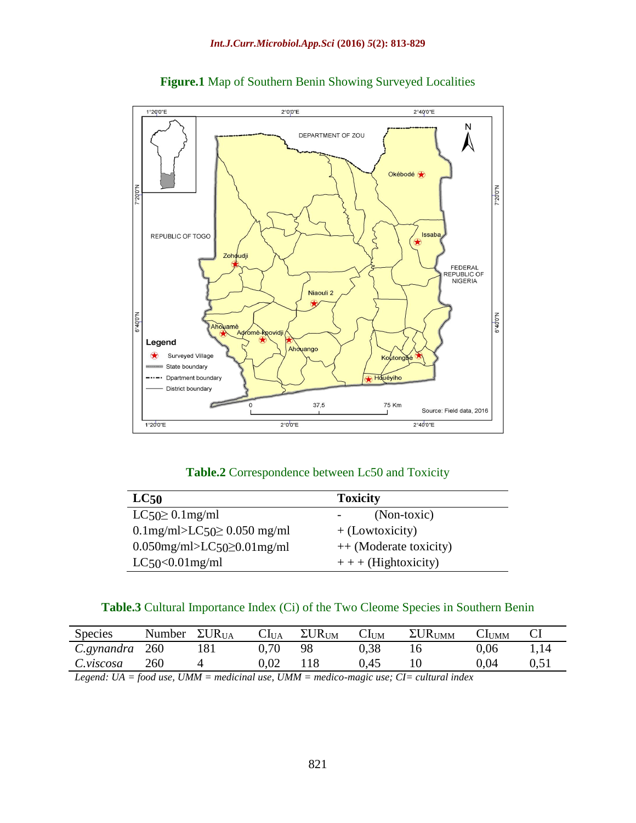



#### Table.2 Correspondence between Lc50 and Toxicity

| LC <sub>50</sub>                     | <b>Toxicity</b>        |
|--------------------------------------|------------------------|
| $LC50 \geq 0.1$ mg/ml                | (Non-toxic)            |
| $0.1$ mg/ml>LC50 $\geq 0.050$ mg/ml  | $+$ (Lowtoxicity)      |
| $0.050$ mg/ml>LC50 $\geq 0.01$ mg/ml | ++ (Moderate toxicity) |
| $LC50<0.01$ mg/ml                    | $++$ (Hightoxicity)    |

#### **Table.3** Cultural Importance Index (Ci) of the Two Cleome Species in Southern Benin

| <b>Species</b> | Number | $\Sigma \text{UR}_{\text{UA}}$ | CI <sub>UA</sub> | $\Sigma \text{UR}_{\text{UM}}$ | $\cup$ lum | $\Sigma \text{UR}_{\text{UMM}}$ | CI <sub>UMM</sub> |               |
|----------------|--------|--------------------------------|------------------|--------------------------------|------------|---------------------------------|-------------------|---------------|
| C.gynandra     | 260    | 181                            | 0.70             | 98                             | 0.38       | 16                              | 0.06              | 1,14          |
| C.viscosa      | 260    |                                | 0.02             | l 18                           | ).45       |                                 | 0.04              | $0.5^{\circ}$ |

*Legend: UA = food use, UMM = medicinal use, UMM = medico-magic use; CI= cultural index*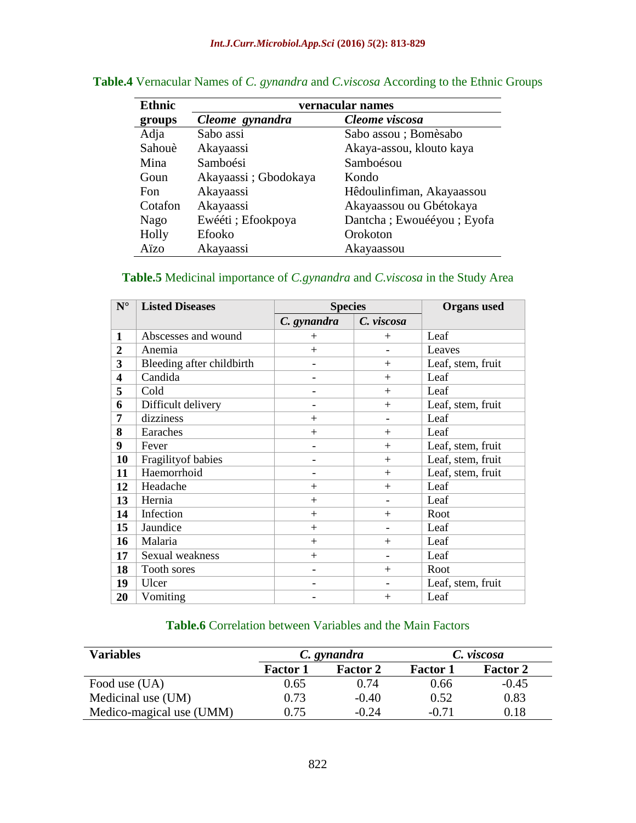| <b>Ethnic</b> | vernacular names     |                           |  |  |
|---------------|----------------------|---------------------------|--|--|
| groups        | Cleome gynandra      | Cleome viscosa            |  |  |
| Adja          | Sabo assi            | Sabo assou ; Bomèsabo     |  |  |
| Sahouè        | Akayaassi            | Akaya-assou, klouto kaya  |  |  |
| Mina          | Samboési             | Samboésou                 |  |  |
| Goun          | Akayaassi; Gbodokaya | Kondo                     |  |  |
| Fon           | Akayaassi            | Hêdoulinfiman, Akayaassou |  |  |
| Cotafon       | Akayaassi            | Akayaassou ou Gbétokaya   |  |  |
| Nago          | Ewééti ; Efookpoya   | Dantcha; Ewouééyou; Eyofa |  |  |
| Holly         | Efooko               | Orokoton                  |  |  |
| Aïzo          | Akayaassi            | Akayaassou                |  |  |

## **Table.4** Vernacular Names of *C. gynandra* and *C.viscosa* According to the Ethnic Groups

# **Table.5** Medicinal importance of *C.gynandra* and *C.viscosa* in the Study Area

| $\mathbf{N}^\circ$      | <b>Listed Diseases</b>    | <b>Species</b>           | <b>Organs</b> used |                   |
|-------------------------|---------------------------|--------------------------|--------------------|-------------------|
|                         |                           | C. gynandra              | C. viscosa         |                   |
| 1                       | Abscesses and wound       | $+$                      | $+$                | Leaf              |
| $\overline{2}$          | Anemia                    | $+$                      |                    | Leaves            |
| 3                       | Bleeding after childbirth | $\overline{\phantom{a}}$ | $+$                | Leaf, stem, fruit |
| $\overline{\mathbf{4}}$ | Candida                   |                          | $+$                | Leaf              |
| 5                       | Cold                      |                          | $+$                | Leaf              |
| 6                       | Difficult delivery        | $\overline{\phantom{a}}$ | $+$                | Leaf, stem, fruit |
| 7                       | dizziness                 | $+$                      |                    | Leaf              |
| 8                       | Earaches                  | $+$                      | $+$                | Leaf              |
| 9                       | Fever                     | $\overline{\phantom{a}}$ | $+$                | Leaf, stem, fruit |
| 10                      | Fragility of babies       |                          | $+$                | Leaf, stem, fruit |
| 11                      | Haemorrhoid               |                          | $+$                | Leaf, stem, fruit |
| 12                      | Headache                  | $+$                      | $+$                | Leaf              |
| 13                      | Hernia                    | $+$                      |                    | Leaf              |
| 14                      | Infection                 | $+$                      | $+$                | Root              |
| 15                      | Jaundice                  | $+$                      |                    | Leaf              |
| 16                      | Malaria                   | $+$                      | $+$                | Leaf              |
| 17                      | Sexual weakness           | $+$                      |                    | Leaf              |
| 18                      | Tooth sores               | $\overline{\phantom{a}}$ | $+$                | Root              |
| 19                      | Ulcer                     |                          |                    | Leaf, stem, fruit |
| 20                      | Vomiting                  |                          | $+$                | Leaf              |

# **Table.6** Correlation between Variables and the Main Factors

| <b>Variables</b>         |                 | C. gynandra     | C. viscosa      |                 |  |
|--------------------------|-----------------|-----------------|-----------------|-----------------|--|
|                          | <b>Factor 1</b> | <b>Factor 2</b> | <b>Factor 1</b> | <b>Factor 2</b> |  |
| Food use (UA)            | 0.65            | 0.74            | 0.66            | $-0.45$         |  |
| Medicinal use (UM)       | 0.73            | $-0.40$         | 0.52            | 0.83            |  |
| Medico-magical use (UMM) | 0.75            | $-0.24$         | $-0.71$         | 0.18            |  |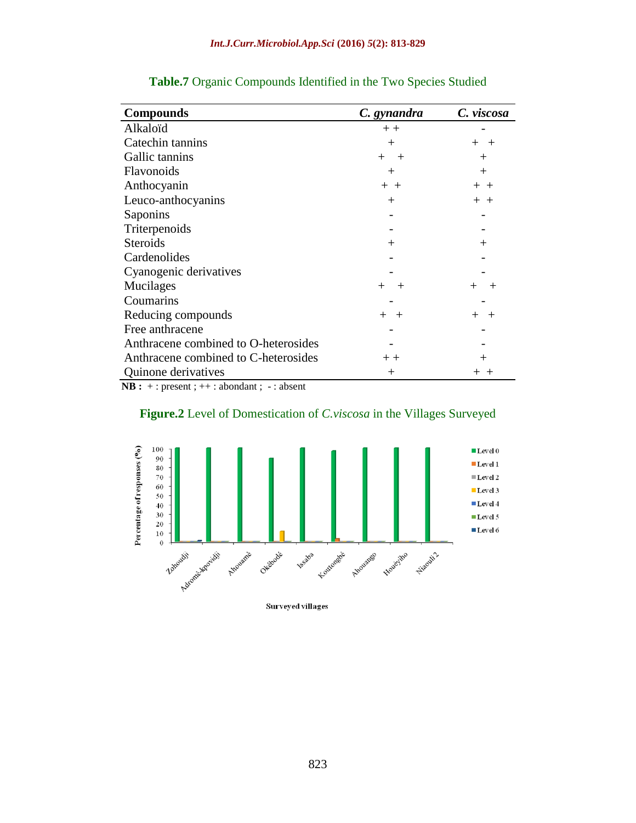| <b>Compounds</b>                     | C. gynandra      | C. viscosa      |
|--------------------------------------|------------------|-----------------|
| Alkaloïd                             | $+ +$            |                 |
| Catechin tannins                     | $^{+}$           | $+$ $+$         |
| Gallic tannins                       | $^{+}$<br>$^{+}$ | $^{+}$          |
| Flavonoids                           | $^+$             | $^{+}$          |
| Anthocyanin                          | $+ +$            | $+ +$           |
| Leuco-anthocyanins                   | $\pm$            | $+ +$           |
| Saponins                             |                  |                 |
| Triterpenoids                        |                  |                 |
| <b>Steroids</b>                      | $\pm$            | $^{+}$          |
| Cardenolides                         |                  |                 |
| Cyanogenic derivatives               |                  |                 |
| Mucilages                            | $^{+}$           | $\pm$<br>$^{+}$ |
| Coumarins                            |                  |                 |
| Reducing compounds                   | $+$ $+$          | $+$<br>$^{+}$   |
| Free anthracene                      |                  |                 |
| Anthracene combined to O-heterosides |                  |                 |
| Anthracene combined to C-heterosides | $+ +$            | $^+$            |
| <b>Quinone derivatives</b>           | $^+$             | $+\,$ $\,$      |

#### **Table.7** Organic Compounds Identified in the Two Species Studied

**NB :** + : present ; ++ : abondant ; - : absent





Surveyed villages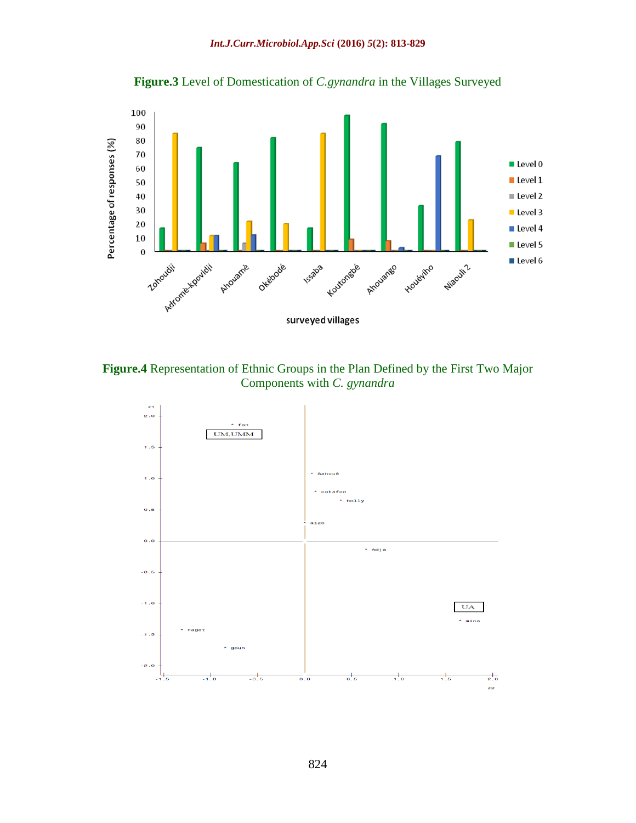#### *Int.J.Curr.Microbiol.App.Sci* **(2016)** *5***(2): 813-829**





**Figure.4** Representation of Ethnic Groups in the Plan Defined by the First Two Major Components with *C. gynandra*

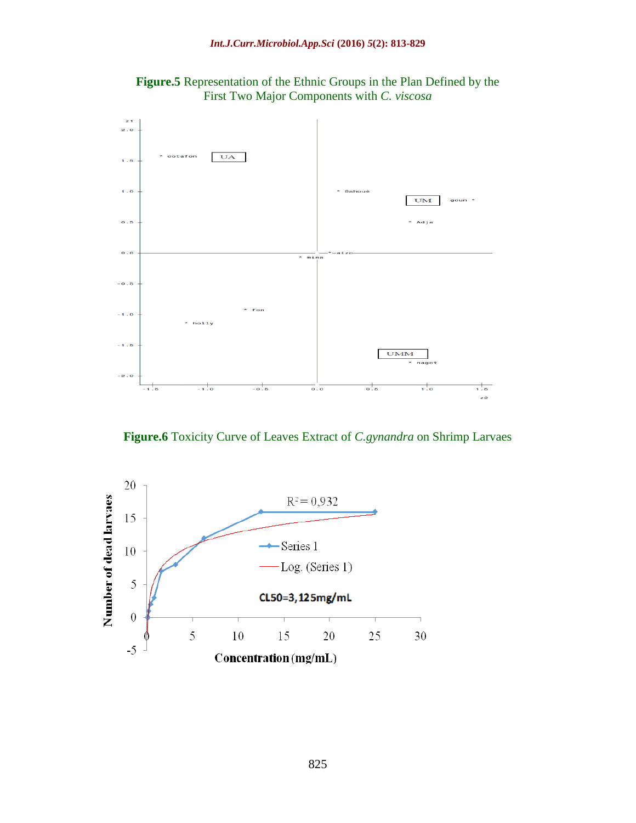

**Figure.5** Representation of the Ethnic Groups in the Plan Defined by the First Two Major Components with *C. viscosa*

**Figure.6** Toxicity Curve of Leaves Extract of *C.gynandra* on Shrimp Larvaes

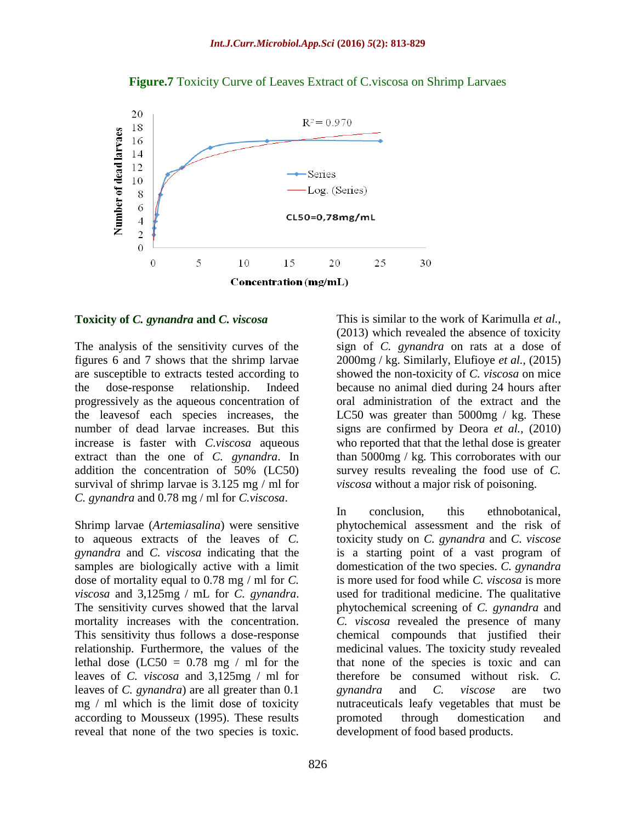

#### **Figure.7** Toxicity Curve of Leaves Extract of C.viscosa on Shrimp Larvaes

#### **Toxicity of** *C. gynandra* **and** *C. viscosa*

The analysis of the sensitivity curves of the figures 6 and 7 shows that the shrimp larvae are susceptible to extracts tested according to the dose-response relationship. Indeed progressively as the aqueous concentration of the leavesof each species increases, the number of dead larvae increases. But this increase is faster with *C.viscosa* aqueous extract than the one of *C. gynandra*. In addition the concentration of 50% (LC50) survival of shrimp larvae is 3.125 mg / ml for *C. gynandra* and 0.78 mg / ml for *C.viscosa*.

Shrimp larvae (*Artemiasalina*) were sensitive to aqueous extracts of the leaves of *C. gynandra* and *C. viscosa* indicating that the samples are biologically active with a limit dose of mortality equal to 0.78 mg / ml for *C. viscosa* and 3,125mg / mL for *C. gynandra*. The sensitivity curves showed that the larval mortality increases with the concentration. This sensitivity thus follows a dose-response relationship. Furthermore, the values of the lethal dose  $(LC50 = 0.78$  mg / ml for the leaves of *C. viscosa* and 3,125mg / ml for leaves of *C. gynandra*) are all greater than 0.1 mg / ml which is the limit dose of toxicity according to Mousseux (1995). These results reveal that none of the two species is toxic.

This is similar to the work of Karimulla *et al.,*  (2013) which revealed the absence of toxicity sign of *C. gynandra* on rats at a dose of 2000mg / kg. Similarly, Elufioye *et al.,* (2015) showed the non-toxicity of *C. viscosa* on mice because no animal died during 24 hours after oral administration of the extract and the LC50 was greater than 5000mg / kg. These signs are confirmed by Deora *et al.,* (2010) who reported that that the lethal dose is greater than 5000mg / kg. This corroborates with our survey results revealing the food use of *C. viscosa* without a major risk of poisoning.

In conclusion, this ethnobotanical, phytochemical assessment and the risk of toxicity study on *C. gynandra* and *C. viscose*  is a starting point of a vast program of domestication of the two species. *C. gynandra*  is more used for food while *C. viscosa* is more used for traditional medicine. The qualitative phytochemical screening of *C. gynandra* and *C. viscosa* revealed the presence of many chemical compounds that justified their medicinal values. The toxicity study revealed that none of the species is toxic and can therefore be consumed without risk. *C. gynandra* and *C. viscose* are two nutraceuticals leafy vegetables that must be promoted through domestication and development of food based products.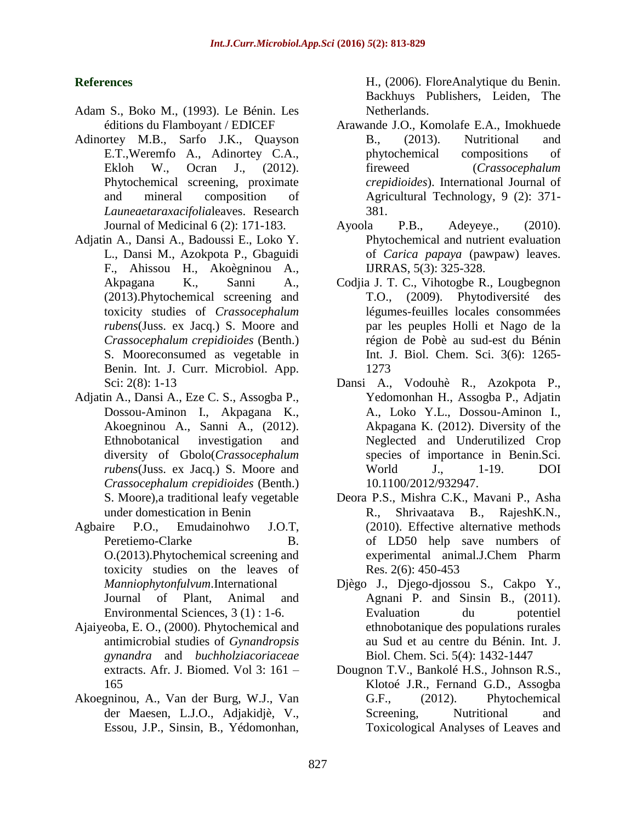## **References**

- Adam S., Boko M., (1993). Le Bénin. Les éditions du Flamboyant / EDICEF
- Adinortey M.B., Sarfo J.K., Quayson E.T.,Weremfo A., Adinortey C.A., Ekloh W., Ocran J., (2012). Phytochemical screening, proximate and mineral composition of *Launeaetaraxacifolia*leaves. Research Journal of Medicinal 6 (2): 171-183.
- Adjatin A., Dansi A., Badoussi E., Loko Y. L., Dansi M., Azokpota P., Gbaguidi F., Ahissou H., Akoègninou A., Akpagana K., Sanni A., (2013).Phytochemical screening and toxicity studies of *Crassocephalum rubens*(Juss. ex Jacq.) S. Moore and *Crassocephalum crepidioides* (Benth.) S. Mooreconsumed as vegetable in Benin. Int. J. Curr. Microbiol. App. Sci: 2(8): 1-13
- Adjatin A., Dansi A., Eze C. S., Assogba P., Dossou-Aminon I., Akpagana K., Akoegninou A., Sanni A., (2012). Ethnobotanical investigation and diversity of Gbolo(*Crassocephalum rubens*(Juss. ex Jacq.) S. Moore and *Crassocephalum crepidioides* (Benth.) S. Moore),a traditional leafy vegetable under domestication in Benin
- Agbaire P.O., Emudainohwo J.O.T, Peretiemo-Clarke B. O.(2013).Phytochemical screening and toxicity studies on the leaves of *Manniophytonfulvum*.International Journal of Plant, Animal and Environmental Sciences, 3 (1) : 1-6.
- Ajaiyeoba, E. O., (2000). Phytochemical and antimicrobial studies of *Gynandropsis gynandra* and *buchholziacoriaceae* extracts. Afr. J. Biomed. Vol 3: 161 – 165
- Akoegninou, A., Van der Burg, W.J., Van der Maesen, L.J.O., Adjakidjè, V., Essou, J.P., Sinsin, B., Yédomonhan,

H., (2006). FloreAnalytique du Benin. Backhuys Publishers, Leiden, The Netherlands.

- Arawande J.O., Komolafe E.A., Imokhuede B., (2013). Nutritional and phytochemical compositions of fireweed (*Crassocephalum crepidioides*). International Journal of Agricultural Technology, 9 (2): 371- 381.
- Ayoola P.B., Adeyeye., (2010). Phytochemical and nutrient evaluation of *Carica papaya* (pawpaw) leaves. IJRRAS, 5(3): 325-328.
- Codjia J. T. C., Vihotogbe R., Lougbegnon T.O., (2009). Phytodiversité des légumes-feuilles locales consommées par les peuples Holli et Nago de la région de Pobè au sud-est du Bénin Int. J. Biol. Chem. Sci. 3(6): 1265- 1273
- Dansi A., Vodouhè R., Azokpota P., Yedomonhan H., Assogba P., Adjatin A., Loko Y.L., Dossou-Aminon I., Akpagana K. (2012). Diversity of the Neglected and Underutilized Crop species of importance in Benin.Sci. World J., 1-19. DOI 10.1100/2012/932947.
- Deora P.S., Mishra C.K., Mavani P., Asha R., Shrivaatava B., RajeshK.N., (2010). Effective alternative methods of LD50 help save numbers of experimental animal.J.Chem Pharm Res. 2(6): 450-453
- Djègo J., Djego-djossou S., Cakpo Y., Agnani P. and Sinsin B., (2011). Evaluation du potentiel ethnobotanique des populations rurales au Sud et au centre du Bénin. Int. J. Biol. Chem. Sci. 5(4): 1432-1447
- Dougnon T.V., Bankolé H.S., Johnson R.S., Klotoé J.R., Fernand G.D., Assogba G.F.,  $(2012)$ . Phytochemical Screening, Nutritional and Toxicological Analyses of Leaves and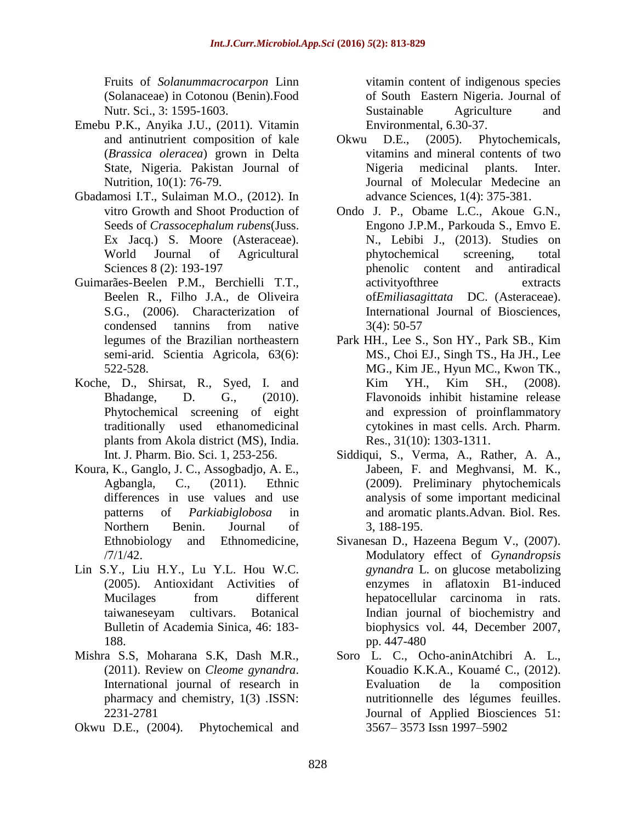Fruits of *Solanummacrocarpon* Linn (Solanaceae) in Cotonou (Benin).Food Nutr. Sci., 3: 1595-1603.

- Emebu P.K., Anyika J.U., (2011). Vitamin and antinutrient composition of kale (*Brassica oleracea*) grown in Delta State, Nigeria. Pakistan Journal of Nutrition, 10(1): 76-79.
- Gbadamosi I.T., Sulaiman M.O., (2012). In vitro Growth and Shoot Production of Seeds of *Crassocephalum rubens*(Juss. Ex Jacq.) S. Moore (Asteraceae). World Journal of Agricultural Sciences 8 (2): 193-197
- Guimarães-Beelen P.M., Berchielli T.T., Beelen R., Filho J.A., de Oliveira S.G., (2006). Characterization of condensed tannins from native legumes of the Brazilian northeastern semi-arid. Scientia Agricola, 63(6): 522-528.
- Koche, D., Shirsat, R., Syed, I. and Bhadange, D. G., (2010). Phytochemical screening of eight traditionally used ethanomedicinal plants from Akola district (MS), India. Int. J. Pharm. Bio. Sci. 1, 253-256.
- Koura, K., Ganglo, J. C., Assogbadjo, A. E., Agbangla, C., (2011). Ethnic differences in use values and use patterns of *Parkiabiglobosa* in Northern Benin. Journal of Ethnobiology and Ethnomedicine, /7/1/42.
- Lin S.Y., Liu H.Y., Lu Y.L. Hou W.C. (2005). Antioxidant Activities of Mucilages from different taiwaneseyam cultivars. Botanical Bulletin of Academia Sinica, 46: 183- 188.
- Mishra S.S, Moharana S.K, Dash M.R., (2011). Review on *Cleome gynandra*. International journal of research in pharmacy and chemistry, 1(3) .ISSN: 2231-2781
- Okwu D.E., (2004). Phytochemical and

vitamin content of indigenous species of South Eastern Nigeria. Journal of Sustainable Agriculture and Environmental, 6.30-37.

- Okwu D.E., (2005). Phytochemicals, vitamins and mineral contents of two Nigeria medicinal plants. Inter. Journal of Molecular Medecine an advance Sciences, 1(4): 375-381.
- Ondo J. P., Obame L.C., Akoue G.N., Engono J.P.M., Parkouda S., Emvo E. N., Lebibi J., (2013). Studies on phytochemical screening, total phenolic content and antiradical activityofthree extracts of*Emiliasagittata* DC. (Asteraceae). International Journal of Biosciences, 3(4): 50-57
- Park HH., Lee S., Son HY., Park SB., Kim MS., Choi EJ., Singh TS., Ha JH., Lee MG., Kim JE., Hyun MC., Kwon TK., Kim YH., Kim SH., (2008). Flavonoids inhibit histamine release and expression of proinflammatory cytokines in mast cells. Arch. Pharm. Res., 31(10): 1303-1311.
- Siddiqui, S., Verma, A., Rather, A. A., Jabeen, F. and Meghvansi, M. K., (2009). Preliminary phytochemicals analysis of some important medicinal and aromatic plants.Advan. Biol. Res. 3, 188-195.
- Sivanesan D., Hazeena Begum V., (2007). Modulatory effect of *Gynandropsis gynandra* L. on glucose metabolizing enzymes in aflatoxin B1-induced hepatocellular carcinoma in rats. Indian journal of biochemistry and biophysics vol. 44, December 2007, pp. 447-480
- Soro L. C., Ocho-aninAtchibri A. L., Kouadio K.K.A., Kouamé C., (2012). Evaluation de la composition nutritionnelle des légumes feuilles. Journal of Applied Biosciences 51: 3567– 3573 Issn 1997–5902